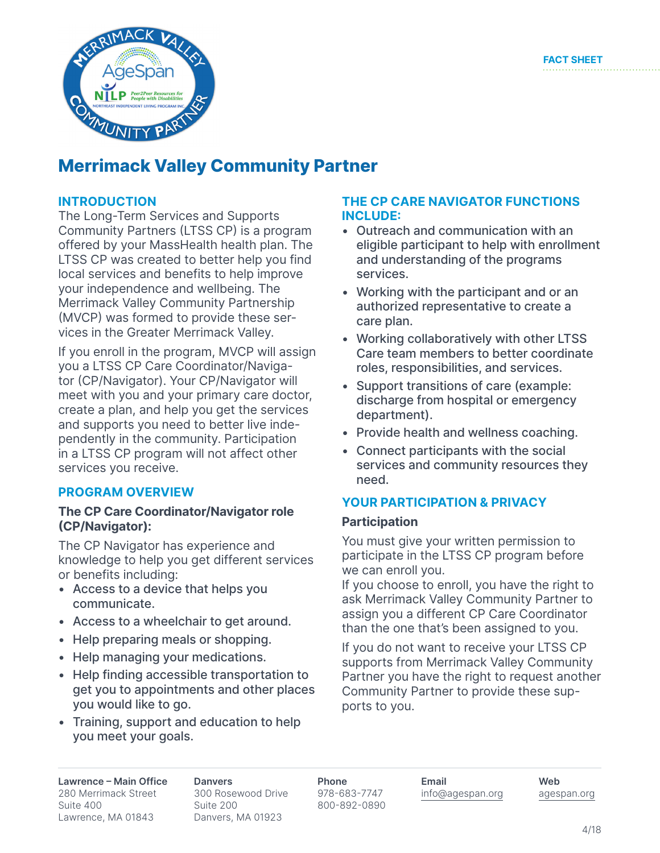

## **Merrimack Valley Community Partner**

### **INTRODUCTION**

The Long-Term Services and Supports Community Partners (LTSS CP) is a program offered by your MassHealth health plan. The LTSS CP was created to better help you find local services and benefits to help improve your independence and wellbeing. The Merrimack Valley Community Partnership (MVCP) was formed to provide these services in the Greater Merrimack Valley.

If you enroll in the program, MVCP will assign you a LTSS CP Care Coordinator/Navigator (CP/Navigator). Your CP/Navigator will meet with you and your primary care doctor, create a plan, and help you get the services and supports you need to better live independently in the community. Participation in a LTSS CP program will not affect other services you receive.

#### **PROGRAM OVERVIEW**

#### **The CP Care Coordinator/Navigator role (CP/Navigator):**

The CP Navigator has experience and knowledge to help you get different services or benefits including:

- Access to a device that helps you communicate.
- Access to a wheelchair to get around.
- Help preparing meals or shopping.
- Help managing your medications.
- Help finding accessible transportation to get you to appointments and other places you would like to go.
- Training, support and education to help you meet your goals.

#### **THE CP CARE NAVIGATOR FUNCTIONS INCLUDE:**

- • Outreach and communication with an eligible participant to help with enrollment and understanding of the programs services.
- Working with the participant and or an authorized representative to create a care plan.
- Working collaboratively with other LTSS Care team members to better coordinate roles, responsibilities, and services.
- Support transitions of care (example: discharge from hospital or emergency department).
- Provide health and wellness coaching.
- • Connect participants with the social services and community resources they need.

#### **YOUR PARTICIPATION & PRIVACY**

#### **Participation**

You must give your written permission to participate in the LTSS CP program before we can enroll you.

If you choose to enroll, you have the right to ask Merrimack Valley Community Partner to assign you a different CP Care Coordinator than the one that's been assigned to you.

If you do not want to receive your LTSS CP supports from Merrimack Valley Community Partner you have the right to request another Community Partner to provide these supports to you.

**Lawrence – Main Office**  280 Merrimack Street Suite 400 Lawrence, MA 01843

**Danvers** 300 Rosewood Drive Suite 200 Danvers, MA 01923

**Phone** 978-683-7747 800-892-0890 **Email** info@agespan.org **Web** agespan.org